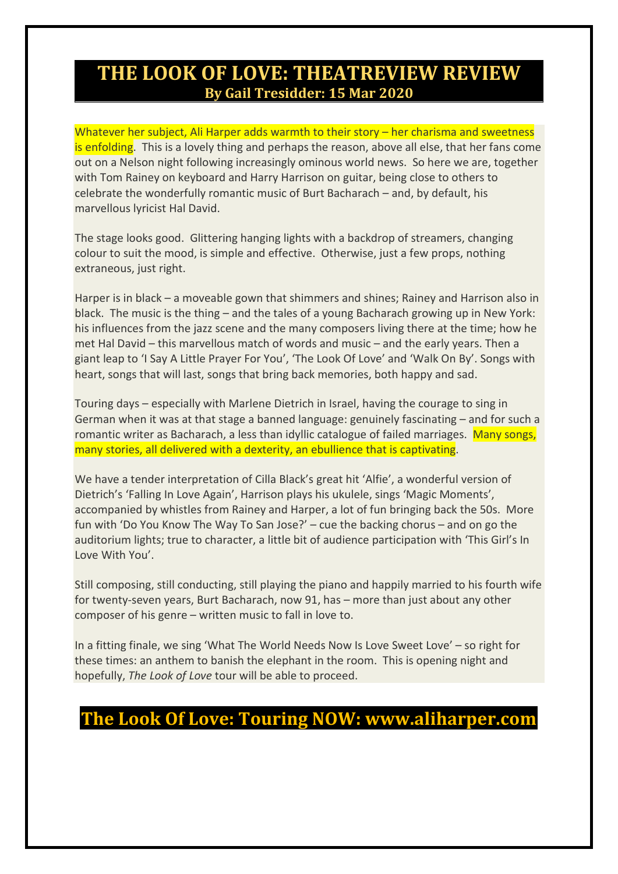## **THE LOOK OF LOVE: THEATREVIEW REVIEW By Gail Tresidder: 15 Mar 2020**

Whatever her subject, Ali Harper adds warmth to their story – her charisma and sweetness is enfolding. This is a lovely thing and perhaps the reason, above all else, that her fans come out on a Nelson night following increasingly ominous world news. So here we are, together with Tom Rainey on keyboard and Harry Harrison on guitar, being close to others to celebrate the wonderfully romantic music of Burt Bacharach – and, by default, his marvellous lyricist Hal David.

The stage looks good. Glittering hanging lights with a backdrop of streamers, changing colour to suit the mood, is simple and effective. Otherwise, just a few props, nothing extraneous, just right.

Harper is in black – a moveable gown that shimmers and shines; Rainey and Harrison also in black. The music is the thing – and the tales of a young Bacharach growing up in New York: his influences from the jazz scene and the many composers living there at the time; how he met Hal David – this marvellous match of words and music – and the early years. Then a giant leap to 'I Say A Little Prayer For You', 'The Look Of Love' and 'Walk On By'. Songs with heart, songs that will last, songs that bring back memories, both happy and sad.

Touring days – especially with Marlene Dietrich in Israel, having the courage to sing in German when it was at that stage a banned language: genuinely fascinating – and for such a romantic writer as Bacharach, a less than idyllic catalogue of failed marriages. Many songs, many stories, all delivered with a dexterity, an ebullience that is captivating.

We have a tender interpretation of Cilla Black's great hit 'Alfie', a wonderful version of Dietrich's 'Falling In Love Again', Harrison plays his ukulele, sings 'Magic Moments', accompanied by whistles from Rainey and Harper, a lot of fun bringing back the 50s. More fun with 'Do You Know The Way To San Jose?' – cue the backing chorus – and on go the auditorium lights; true to character, a little bit of audience participation with 'This Girl's In Love With You'.

Still composing, still conducting, still playing the piano and happily married to his fourth wife for twenty-seven years, Burt Bacharach, now 91, has – more than just about any other composer of his genre – written music to fall in love to.

In a fitting finale, we sing 'What The World Needs Now Is Love Sweet Love' – so right for these times: an anthem to banish the elephant in the room. This is opening night and hopefully, *The Look of Love* tour will be able to proceed.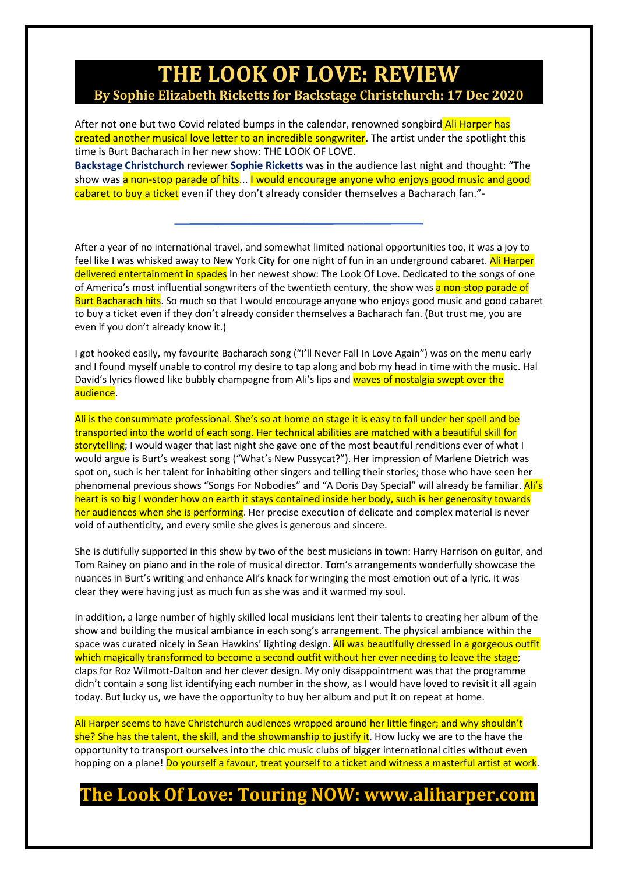### **THE LOOK OF LOVE: REVIEW By Sophie Elizabeth Ricketts for Backstage Christchurch: 17 Dec 2020**

After not one but two Covid related bumps in the calendar, renowned songbird Ali Harper has created another musical love letter to an incredible songwriter. The artist under the spotlight this time is Burt Bacharach in her new show: THE LOOK OF LOVE. **Backstage [Christchurch](https://www.facebook.com/BackstageChristchurch/?__cft__%5b0%5d=AZX4Q-sUW2lBP3JGxp9urQXyUF-ufBSKxoezJvB_Vc0HdLrvCrHavpTj9F6J9ps0fGJBuAty-v3ujEKUWRpTJbBZFA6trk8d41VlCAdKZXFTeOBDpjgh7amUXW0AOLjwKkKlue9HpELejVcfQtbE3C4L&__tn__=kK-R)** reviewer **Sophie [Ricketts](https://www.facebook.com/Sophie-Ricketts-776279502493671/?__cft__%5b0%5d=AZX4Q-sUW2lBP3JGxp9urQXyUF-ufBSKxoezJvB_Vc0HdLrvCrHavpTj9F6J9ps0fGJBuAty-v3ujEKUWRpTJbBZFA6trk8d41VlCAdKZXFTeOBDpjgh7amUXW0AOLjwKkKlue9HpELejVcfQtbE3C4L&__tn__=kK-R)** was in the audience last night and thought: "The

show was a non-stop parade of hits... I would encourage anyone who enjoys good music and good cabaret to buy a ticket even if they don't already consider themselves a Bacharach fan."-

After a year of no international travel, and somewhat limited national opportunities too, it was a joy to feel like I was whisked away to New York City for one night of fun in an underground cabaret. Ali Harper delivered entertainment in spades in her newest show: The Look Of Love. Dedicated to the songs of one of America's most influential songwriters of the twentieth century, the show was a non-stop parade of Burt Bacharach hits. So much so that I would encourage anyone who enjoys good music and good cabaret to buy a ticket even if they don't already consider themselves a Bacharach fan. (But trust me, you are even if you don't already know it.)

I got hooked easily, my favourite Bacharach song ("I'll Never Fall In Love Again") was on the menu early and I found myself unable to control my desire to tap along and bob my head in time with the music. Hal David's lyrics flowed like bubbly champagne from Ali's lips and waves of nostalgia swept over the audience.

Ali is the consummate professional. She's so at home on stage it is easy to fall under her spell and be transported into the world of each song. Her technical abilities are matched with a beautiful skill for storytelling; I would wager that last night she gave one of the most beautiful renditions ever of what I would argue is Burt's weakest song ("What's New Pussycat?"). Her impression of Marlene Dietrich was spot on, such is her talent for inhabiting other singers and telling their stories; those who have seen her phenomenal previous shows "Songs For Nobodies" and "A Doris Day Special" will already be familiar. Ali's heart is so big I wonder how on earth it stays contained inside her body, such is her generosity towards her audiences when she is performing. Her precise execution of delicate and complex material is never void of authenticity, and every smile she gives is generous and sincere.

She is dutifully supported in this show by two of the best musicians in town: Harry Harrison on guitar, and Tom Rainey on piano and in the role of musical director. Tom's arrangements wonderfully showcase the nuances in Burt's writing and enhance Ali's knack for wringing the most emotion out of a lyric. It was clear they were having just as much fun as she was and it warmed my soul.

In addition, a large number of highly skilled local musicians lent their talents to creating her album of the show and building the musical ambiance in each song's arrangement. The physical ambiance within the space was curated nicely in Sean Hawkins' lighting design. Ali was beautifully dressed in a gorgeous outfit which magically transformed to become a second outfit without her ever needing to leave the stage; claps for Roz Wilmott-Dalton and her clever design. My only disappointment was that the programme didn't contain a song list identifying each number in the show, as I would have loved to revisit it all again today. But lucky us, we have the opportunity to buy her album and put it on repeat at home.

Ali Harper seems to have Christchurch audiences wrapped around her little finger; and why shouldn't she? She has the talent, the skill, and the showmanship to justify it. How lucky we are to the have the opportunity to transport ourselves into the chic music clubs of bigger international cities without even hopping on a plane! Do yourself a favour, treat yourself to a ticket and witness a masterful artist at work.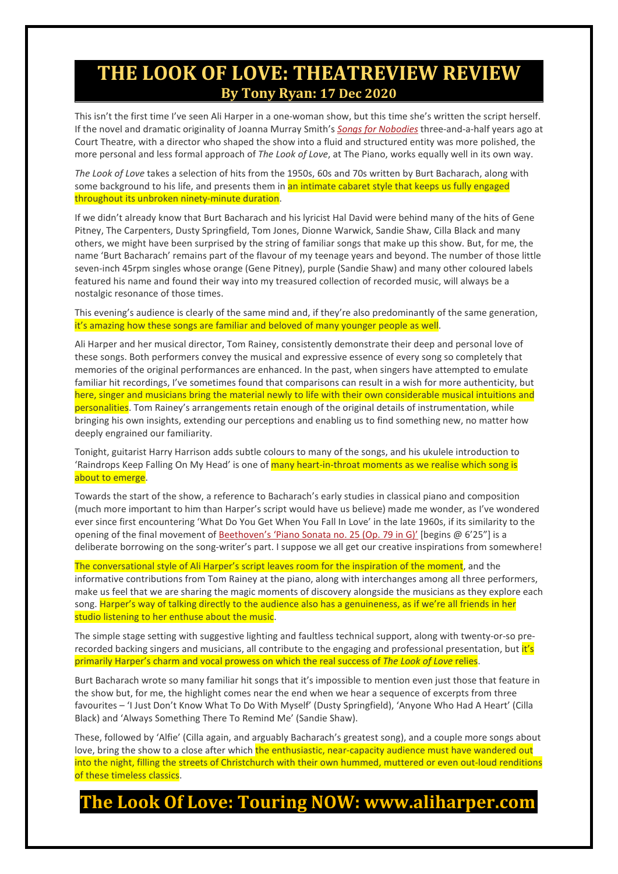### **THE LOOK OF LOVE: THEATREVIEW REVIEW By Tony Ryan: 17 Dec 2020**

This isn't the first time I've seen Ali Harper in a one-woman show, but this time she's written the script herself. If the novel and dramatic originality of Joanna Murray Smith's *[Songs for Nobodies](https://www.theatreview.org.nz/reviews/review.php?id=10346)* three-and-a-half years ago at Court Theatre, with a director who shaped the show into a fluid and structured entity was more polished, the more personal and less formal approach of *The Look of Love*, at The Piano, works equally well in its own way.

*The Look of Love* takes a selection of hits from the 1950s, 60s and 70s written by Burt Bacharach, along with some background to his life, and presents them in an intimate cabaret style that keeps us fully engaged throughout its unbroken ninety-minute duration.

If we didn't already know that Burt Bacharach and his lyricist Hal David were behind many of the hits of Gene Pitney, The Carpenters, Dusty Springfield, Tom Jones, Dionne Warwick, Sandie Shaw, Cilla Black and many others, we might have been surprised by the string of familiar songs that make up this show. But, for me, the name 'Burt Bacharach' remains part of the flavour of my teenage years and beyond. The number of those little seven-inch 45rpm singles whose orange (Gene Pitney), purple (Sandie Shaw) and many other coloured labels featured his name and found their way into my treasured collection of recorded music, will always be a nostalgic resonance of those times.

This evening's audience is clearly of the same mind and, if they're also predominantly of the same generation, it's amazing how these songs are familiar and beloved of many younger people as well.

Ali Harper and her musical director, Tom Rainey, consistently demonstrate their deep and personal love of these songs. Both performers convey the musical and expressive essence of every song so completely that memories of the original performances are enhanced. In the past, when singers have attempted to emulate familiar hit recordings, I've sometimes found that comparisons can result in a wish for more authenticity, but here, singer and musicians bring the material newly to life with their own considerable musical intuitions and personalities. Tom Rainey's arrangements retain enough of the original details of instrumentation, while bringing his own insights, extending our perceptions and enabling us to find something new, no matter how deeply engrained our familiarity.

Tonight, guitarist Harry Harrison adds subtle colours to many of the songs, and his ukulele introduction to 'Raindrops Keep Falling On My Head' is one of many heart-in-throat moments as we realise which song is about to emerge.

Towards the start of the show, a reference to Bacharach's early studies in classical piano and composition (much more important to him than Harper's script would have us believe) made me wonder, as I've wondered ever since first encountering 'What Do You Get When You Fall In Love' in the late 1960s, if its similarity to the opening of the final movement of [Beethoven's 'Piano Sonata no. 25 \(Op. 79 in G\)'](https://www.youtube.com/watch?v=ZvxhqlqNhu4) [begins @ 6'25"] is a deliberate borrowing on the song-writer's part. I suppose we all get our creative inspirations from somewhere!

The conversational style of Ali Harper's script leaves room for the inspiration of the moment, and the informative contributions from Tom Rainey at the piano, along with interchanges among all three performers, make us feel that we are sharing the magic moments of discovery alongside the musicians as they explore each song. Harper's way of talking directly to the audience also has a genuineness, as if we're all friends in her studio listening to her enthuse about the music.

The simple stage setting with suggestive lighting and faultless technical support, along with twenty-or-so prerecorded backing singers and musicians, all contribute to the engaging and professional presentation, but it's primarily Harper's charm and vocal prowess on which the real success of *The Look of Love* relies.

Burt Bacharach wrote so many familiar hit songs that it's impossible to mention even just those that feature in the show but, for me, the highlight comes near the end when we hear a sequence of excerpts from three favourites – 'I Just Don't Know What To Do With Myself' (Dusty Springfield), 'Anyone Who Had A Heart' (Cilla Black) and 'Always Something There To Remind Me' (Sandie Shaw).

These, followed by 'Alfie' (Cilla again, and arguably Bacharach's greatest song), and a couple more songs about love, bring the show to a close after which the enthusiastic, near-capacity audience must have wandered out into the night, filling the streets of Christchurch with their own hummed, muttered or even out-loud renditions of these timeless classics.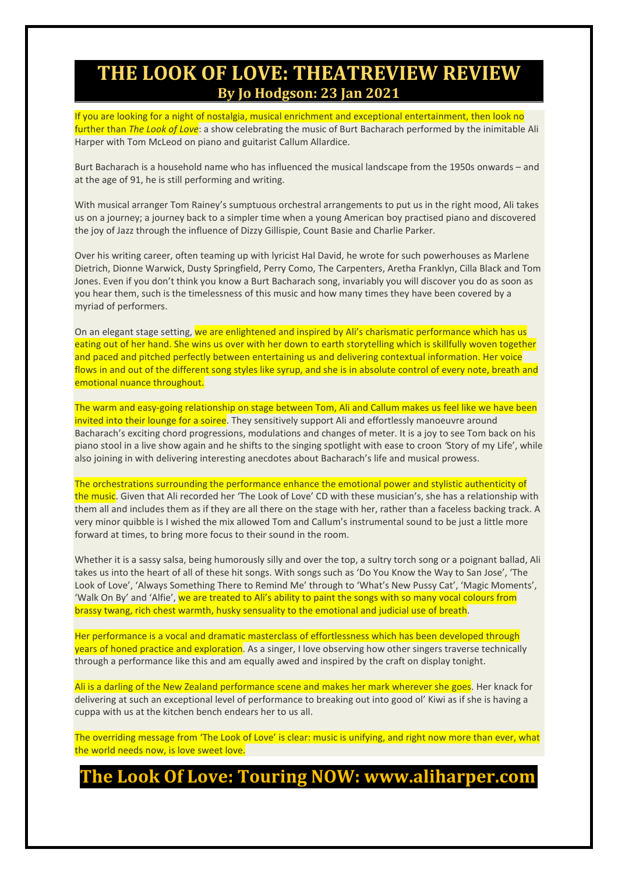### **THE LOOK OF LOVE: THEATREVIEW REVIEW By Jo Hodgson: 23 Jan 2021**

If you are looking for a night of nostalgia, musical enrichment and exceptional entertainment, then look no further than *The Look of Love*: a show celebrating the music of Burt Bacharach performed by the inimitable Ali Harper with Tom McLeod on piano and guitarist Callum Allardice.

Burt Bacharach is a household name who has influenced the musical landscape from the 1950s onwards – and at the age of 91, he is still performing and writing.

With musical arranger Tom Rainey's sumptuous orchestral arrangements to put us in the right mood, Ali takes us on a journey; a journey back to a simpler time when a young American boy practised piano and discovered the joy of Jazz through the influence of Dizzy Gillispie, Count Basie and Charlie Parker.

Over his writing career, often teaming up with lyricist Hal David, he wrote for such powerhouses as Marlene Dietrich, Dionne Warwick, Dusty Springfield, Perry Como, The Carpenters, Aretha Franklyn, Cilla Black and Tom Jones. Even if you don't think you know a Burt Bacharach song, invariably you will discover you do as soon as you hear them, such is the timelessness of this music and how many times they have been covered by a myriad of performers.

On an elegant stage setting, we are enlightened and inspired by Ali's charismatic performance which has us eating out of her hand. She wins us over with her down to earth storytelling which is skillfully woven together and paced and pitched perfectly between entertaining us and delivering contextual information. Her voice flows in and out of the different song styles like syrup, and she is in absolute control of every note, breath and emotional nuance throughout.

The warm and easy-going relationship on stage between Tom, Ali and Callum makes us feel like we have been invited into their lounge for a soiree. They sensitively support Ali and effortlessly manoeuvre around Bacharach's exciting chord progressions, modulations and changes of meter. It is a joy to see Tom back on his piano stool in a live show again and he shifts to the singing spotlight with ease to croon *'*Story of my Life', while also joining in with delivering interesting anecdotes about Bacharach's life and musical prowess.

The orchestrations surrounding the performance enhance the emotional power and stylistic authenticity of the music. Given that Ali recorded her 'The Look of Love' CD with these musician's, she has a relationship with them all and includes them as if they are all there on the stage with her, rather than a faceless backing track. A very minor quibble is I wished the mix allowed Tom and Callum's instrumental sound to be just a little more forward at times, to bring more focus to their sound in the room.

Whether it is a sassy salsa, being humorously silly and over the top, a sultry torch song or a poignant ballad, Ali takes us into the heart of all of these hit songs. With songs such as 'Do You Know the Way to San Jose', 'The Look of Love', 'Always Something There to Remind Me' through to 'What's New Pussy Cat', 'Magic Moments', 'Walk On By' and 'Alfie', we are treated to Ali's ability to paint the songs with so many vocal colours from brassy twang, rich chest warmth, husky sensuality to the emotional and judicial use of breath.

Her performance is a vocal and dramatic masterclass of effortlessness which has been developed through years of honed practice and exploration. As a singer, I love observing how other singers traverse technically through a performance like this and am equally awed and inspired by the craft on display tonight.

Ali is a darling of the New Zealand performance scene and makes her mark wherever she goes. Her knack for delivering at such an exceptional level of performance to breaking out into good ol' Kiwi as if she is having a cuppa with us at the kitchen bench endears her to us all.

The overriding message from 'The Look of Love' is clear: music is unifying, and right now more than ever, what the world needs now, is love sweet love.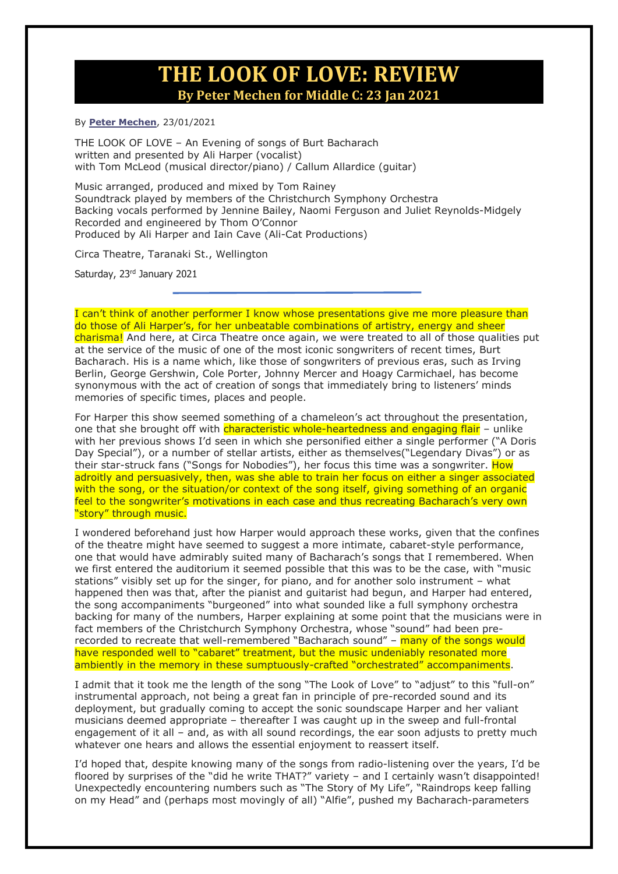### **THE LOOK OF LOVE: REVIEW By Peter Mechen for Middle C: 23 Jan 2021**

#### By **[Peter Mechen](https://middle-c.org/author/peter/)**, 23/01/2021

THE LOOK OF LOVE – An Evening of songs of Burt Bacharach written and presented by Ali Harper (vocalist) with Tom McLeod (musical director/piano) / Callum Allardice (guitar)

Music arranged, produced and mixed by Tom Rainey Soundtrack played by members of the Christchurch Symphony Orchestra Backing vocals performed by Jennine Bailey, Naomi Ferguson and Juliet Reynolds-Midgely Recorded and engineered by Thom O'Connor Produced by Ali Harper and Iain Cave (Ali-Cat Productions)

Circa Theatre, Taranaki St., Wellington

Saturday, 23rd January 2021

I can't think of another performer I know whose presentations give me more pleasure than do those of Ali Harper's, for her unbeatable combinations of artistry, energy and sheer charisma! And here, at Circa Theatre once again, we were treated to all of those qualities put at the service of the music of one of the most iconic songwriters of recent times, Burt Bacharach. His is a name which, like those of songwriters of previous eras, such as Irving Berlin, George Gershwin, Cole Porter, Johnny Mercer and Hoagy Carmichael, has become synonymous with the act of creation of songs that immediately bring to listeners' minds memories of specific times, places and people.

For Harper this show seemed something of a chameleon's act throughout the presentation, one that she brought off with *characteristic whole-heartedness and engaging flair* - unlike with her previous shows I'd seen in which she personified either a single performer ("A Doris Day Special"), or a number of stellar artists, either as themselves("Legendary Divas") or as their star-struck fans ("Songs for Nobodies"), her focus this time was a songwriter. How adroitly and persuasively, then, was she able to train her focus on either a singer associated with the song, or the situation/or context of the song itself, giving something of an organic feel to the songwriter's motivations in each case and thus recreating Bacharach's very own "story" through music.

I wondered beforehand just how Harper would approach these works, given that the confines of the theatre might have seemed to suggest a more intimate, cabaret-style performance, one that would have admirably suited many of Bacharach's songs that I remembered. When we first entered the auditorium it seemed possible that this was to be the case, with "music stations" visibly set up for the singer, for piano, and for another solo instrument – what happened then was that, after the pianist and guitarist had begun, and Harper had entered, the song accompaniments "burgeoned" into what sounded like a full symphony orchestra backing for many of the numbers, Harper explaining at some point that the musicians were in fact members of the Christchurch Symphony Orchestra, whose "sound" had been prerecorded to recreate that well-remembered "Bacharach sound" - many of the songs would have responded well to "cabaret" treatment, but the music undeniably resonated more ambiently in the memory in these sumptuously-crafted "orchestrated" accompaniments.

I admit that it took me the length of the song "The Look of Love" to "adjust" to this "full-on" instrumental approach, not being a great fan in principle of pre-recorded sound and its deployment, but gradually coming to accept the sonic soundscape Harper and her valiant musicians deemed appropriate – thereafter I was caught up in the sweep and full-frontal engagement of it all – and, as with all sound recordings, the ear soon adjusts to pretty much whatever one hears and allows the essential enjoyment to reassert itself.

I'd hoped that, despite knowing many of the songs from radio-listening over the years, I'd be floored by surprises of the "did he write THAT?" variety – and I certainly wasn't disappointed! Unexpectedly encountering numbers such as "The Story of My Life", "Raindrops keep falling on my Head" and (perhaps most movingly of all) "Alfie", pushed my Bacharach-parameters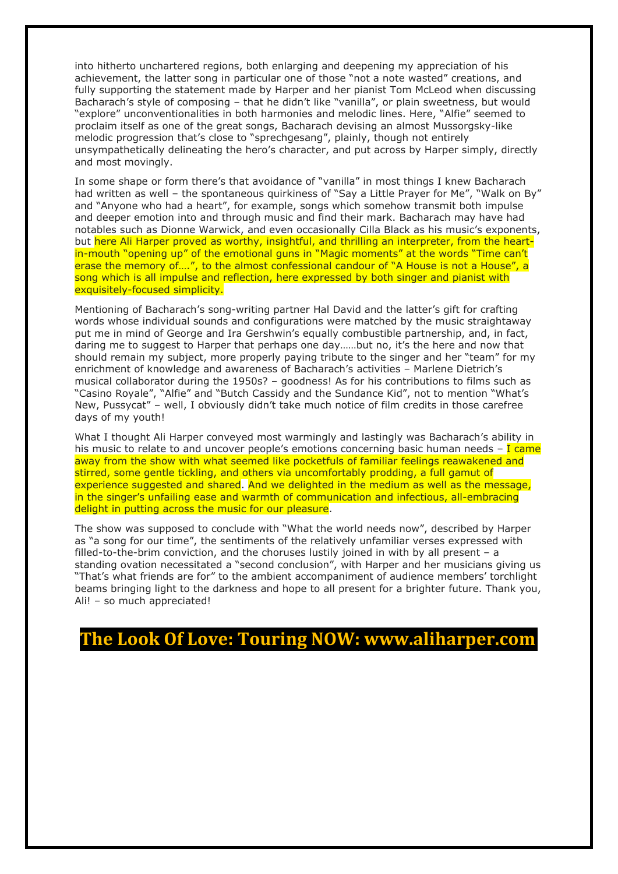into hitherto unchartered regions, both enlarging and deepening my appreciation of his achievement, the latter song in particular one of those "not a note wasted" creations, and fully supporting the statement made by Harper and her pianist Tom McLeod when discussing Bacharach's style of composing – that he didn't like "vanilla", or plain sweetness, but would "explore" unconventionalities in both harmonies and melodic lines. Here, "Alfie" seemed to proclaim itself as one of the great songs, Bacharach devising an almost Mussorgsky-like melodic progression that's close to "sprechgesang", plainly, though not entirely unsympathetically delineating the hero's character, and put across by Harper simply, directly and most movingly.

In some shape or form there's that avoidance of "vanilla" in most things I knew Bacharach had written as well - the spontaneous quirkiness of "Say a Little Prayer for Me", "Walk on By" and "Anyone who had a heart", for example, songs which somehow transmit both impulse and deeper emotion into and through music and find their mark. Bacharach may have had notables such as Dionne Warwick, and even occasionally Cilla Black as his music's exponents, but here Ali Harper proved as worthy, insightful, and thrilling an interpreter, from the heartin-mouth "opening up" of the emotional guns in "Magic moments" at the words "Time can't erase the memory of....", to the almost confessional candour of "A House is not a House", a song which is all impulse and reflection, here expressed by both singer and pianist with exquisitely-focused simplicity.

Mentioning of Bacharach's song-writing partner Hal David and the latter's gift for crafting words whose individual sounds and configurations were matched by the music straightaway put me in mind of George and Ira Gershwin's equally combustible partnership, and, in fact, daring me to suggest to Harper that perhaps one day……but no, it's the here and now that should remain my subject, more properly paying tribute to the singer and her "team" for my enrichment of knowledge and awareness of Bacharach's activities – Marlene Dietrich's musical collaborator during the 1950s? – goodness! As for his contributions to films such as "Casino Royale", "Alfie" and "Butch Cassidy and the Sundance Kid", not to mention "What's New, Pussycat" – well, I obviously didn't take much notice of film credits in those carefree days of my youth!

What I thought Ali Harper conveyed most warmingly and lastingly was Bacharach's ability in his music to relate to and uncover people's emotions concerning basic human needs  $-$  I came away from the show with what seemed like pocketfuls of familiar feelings reawakened and stirred, some gentle tickling, and others via uncomfortably prodding, a full gamut of experience suggested and shared. And we delighted in the medium as well as the message, in the singer's unfailing ease and warmth of communication and infectious, all-embracing delight in putting across the music for our pleasure.

The show was supposed to conclude with "What the world needs now", described by Harper as "a song for our time", the sentiments of the relatively unfamiliar verses expressed with filled-to-the-brim conviction, and the choruses lustily joined in with by all present – a standing ovation necessitated a "second conclusion", with Harper and her musicians giving us "That's what friends are for" to the ambient accompaniment of audience members' torchlight beams bringing light to the darkness and hope to all present for a brighter future. Thank you, Ali! – so much appreciated!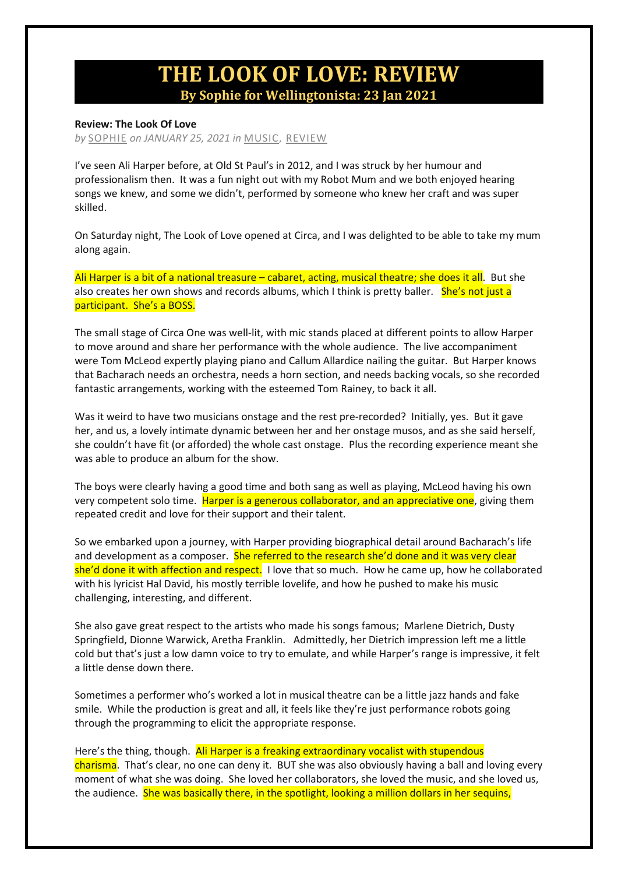## **THE LOOK OF LOVE: REVIEW By Sophie for Wellingtonista: 23 Jan 2021**

#### **Review: The Look Of Love**

*by* [SOPHIE](https://wellingtonista.com/author/sophie/) *on JANUARY 25, 2021 in* [MUSIC,](https://wellingtonista.com/category/music/) [REVIEW](https://wellingtonista.com/category/review/)

I've seen Ali Harper before, at Old St Paul's in 2012, and I was struck by her humour and professionalism then. It was a fun night out with my Robot Mum and we both enjoyed hearing songs we knew, and some we didn't, performed by someone who knew her craft and was super skilled.

On Saturday night, The Look of Love opened at Circa, and I was delighted to be able to take my mum along again.

Ali Harper is a bit of a national treasure – cabaret, acting, musical theatre; she does it all. But she also creates her own shows and records albums, which I think is pretty baller. She's not just a participant. She's a BOSS.

The small stage of Circa One was well-lit, with mic stands placed at different points to allow Harper to move around and share her performance with the whole audience. The live accompaniment were Tom McLeod expertly playing piano and Callum Allardice nailing the guitar. But Harper knows that Bacharach needs an orchestra, needs a horn section, and needs backing vocals, so she recorded fantastic arrangements, working with the esteemed Tom Rainey, to back it all.

Was it weird to have two musicians onstage and the rest pre-recorded? Initially, yes. But it gave her, and us, a lovely intimate dynamic between her and her onstage musos, and as she said herself, she couldn't have fit (or afforded) the whole cast onstage. Plus the recording experience meant she was able to produce an album for the show.

The boys were clearly having a good time and both sang as well as playing, McLeod having his own very competent solo time. Harper is a generous collaborator, and an appreciative one, giving them repeated credit and love for their support and their talent.

So we embarked upon a journey, with Harper providing biographical detail around Bacharach's life and development as a composer. She referred to the research she'd done and it was very clear she'd done it with affection and respect. I love that so much. How he came up, how he collaborated with his lyricist Hal David, his mostly terrible lovelife, and how he pushed to make his music challenging, interesting, and different.

She also gave great respect to the artists who made his songs famous; Marlene Dietrich, Dusty Springfield, Dionne Warwick, Aretha Franklin. Admittedly, her Dietrich impression left me a little cold but that's just a low damn voice to try to emulate, and while Harper's range is impressive, it felt a little dense down there.

Sometimes a performer who's worked a lot in musical theatre can be a little jazz hands and fake smile. While the production is great and all, it feels like they're just performance robots going through the programming to elicit the appropriate response.

Here's the thing, though. Ali Harper is a freaking extraordinary vocalist with stupendous charisma. That's clear, no one can deny it. BUT she was also obviously having a ball and loving every moment of what she was doing. She loved her collaborators, she loved the music, and she loved us, the audience. She was basically there, in the spotlight, looking a million dollars in her sequins,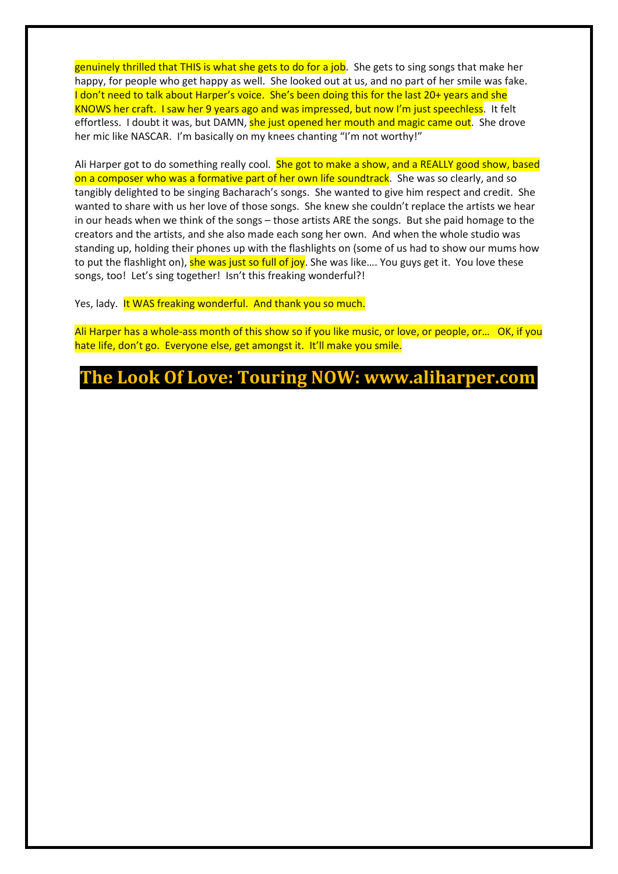genuinely thrilled that THIS is what she gets to do for a job. She gets to sing songs that make her happy, for people who get happy as well. She looked out at us, and no part of her smile was fake. I don't need to talk about Harper's voice. She's been doing this for the last 20+ years and she KNOWS her craft. I saw her 9 years ago and was impressed, but now I'm just speechless. It felt effortless. I doubt it was, but DAMN, she just opened her mouth and magic came out. She drove her mic like NASCAR. I'm basically on my knees chanting "I'm not worthy!"

Ali Harper got to do something really cool. She got to make a show, and a REALLY good show, based on a composer who was a formative part of her own life soundtrack. She was so clearly, and so tangibly delighted to be singing Bacharach's songs. She wanted to give him respect and credit. She wanted to share with us her love of those songs. She knew she couldn't replace the artists we hear in our heads when we think of the songs – those artists ARE the songs. But she paid homage to the creators and the artists, and she also made each song her own. And when the whole studio was standing up, holding their phones up with the flashlights on (some of us had to show our mums how to put the flashlight on), she was just so full of joy. She was like.... You guys get it. You love these songs, too! Let's sing together! Isn't this freaking wonderful?!

Yes, lady. It WAS freaking wonderful. And thank you so much.

Ali Harper has a whole-ass month of this show so if you like music, or love, or people, or… OK, if you hate life, don't go. Everyone else, get amongst it. It'll make you smile.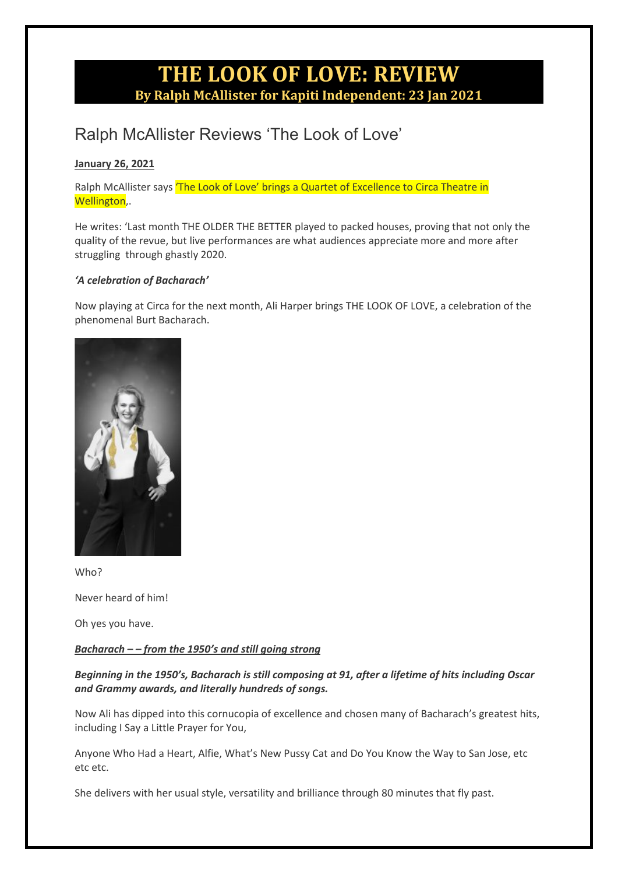## **THE LOOK OF LOVE: REVIEW By Ralph McAllister for Kapiti Independent: 23 Jan 2021**

## Ralph McAllister Reviews 'The Look of Love'

### **[January 26, 2021](http://kapitiindependentnews.net.nz/ralph-mcallister-reviews-the-look-of-love/)**

Ralph McAllister says 'The Look of Love' brings a Quartet of Excellence to Circa Theatre in Wellington,.

He writes: 'Last month THE OLDER THE BETTER played to packed houses, proving that not only the quality of the revue, but live performances are what audiences appreciate more and more after struggling through ghastly 2020.

### *'A celebration of Bacharach'*

Now playing at Circa for the next month, Ali Harper brings THE LOOK OF LOVE, a celebration of the phenomenal Burt Bacharach.



Who?

Never heard of him!

Oh yes you have.

### *Bacharach – – from the 1950's and still going strong*

### *Beginning in the 1950's, Bacharach is still composing at 91, after a lifetime of hits including Oscar and Grammy awards, and literally hundreds of songs.*

Now Ali has dipped into this cornucopia of excellence and chosen many of Bacharach's greatest hits, including I Say a Little Prayer for You,

Anyone Who Had a Heart, Alfie, What's New Pussy Cat and Do You Know the Way to San Jose, etc etc etc.

She delivers with her usual style, versatility and brilliance through 80 minutes that fly past.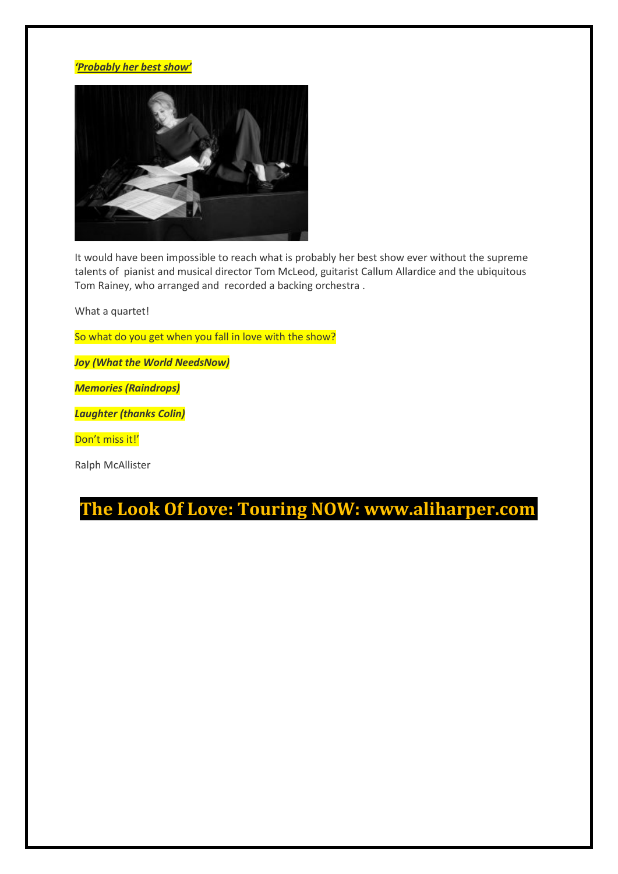#### *'Probably her best show'*



It would have been impossible to reach what is probably her best show ever without the supreme talents of pianist and musical director Tom McLeod, guitarist Callum Allardice and the ubiquitous Tom Rainey, who arranged and recorded a backing orchestra .

What a quartet!

So what do you get when you fall in love with the show?

*Joy (What the World NeedsNow)*

*Memories (Raindrops)*

*Laughter (thanks Colin)*

Don't miss it!'

Ralph McAllister

**The Look Of Love: Touring NOW: www.aliharper.com**